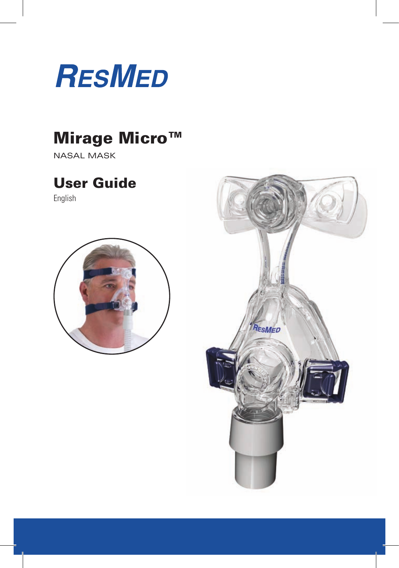

## Mirage Micro™

nasal mask

## User Guide

English



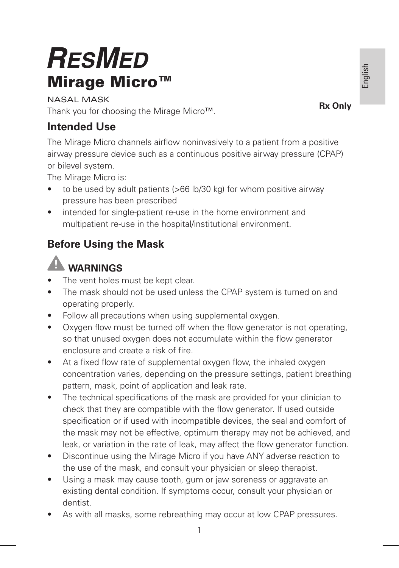# **RESMED** Mirage Micro™

nasal mask Thank you for choosing the Mirage Micro™.

## **Intended Use**

The Mirage Micro channels airflow noninvasively to a patient from a positive airway pressure device such as a continuous positive airway pressure (CPAP) or bilevel system.

The Mirage Micro is:

- to be used by adult patients (>66 lb/30 kg) for whom positive airway pressure has been prescribed
- intended for single-patient re-use in the home environment and multipatient re-use in the hospital/institutional environment.

## **Before Using the Mask**

## **WARNINGS**

- The vent holes must be kept clear.
- The mask should not be used unless the CPAP system is turned on and operating properly.
- Follow all precautions when using supplemental oxygen.
- Oxygen flow must be turned off when the flow generator is not operating, so that unused oxygen does not accumulate within the flow generator enclosure and create a risk of fire.
- At a fixed flow rate of supplemental oxygen flow, the inhaled oxygen concentration varies, depending on the pressure settings, patient breathing pattern, mask, point of application and leak rate.
- The technical specifications of the mask are provided for your clinician to check that they are compatible with the flow generator. If used outside specification or if used with incompatible devices, the seal and comfort of the mask may not be effective, optimum therapy may not be achieved, and leak, or variation in the rate of leak, may affect the flow generator function.
- Discontinue using the Mirage Micro if you have ANY adverse reaction to the use of the mask, and consult your physician or sleep therapist.
- Using a mask may cause tooth, gum or jaw soreness or aggravate an existing dental condition. If symptoms occur, consult your physician or dentist.
- As with all masks, some rebreathing may occur at low CPAP pressures.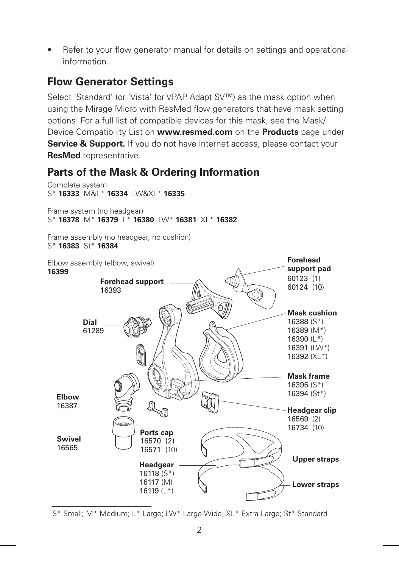• Refer to your flow generator manual for details on settings and operational information.

### **Flow Generator Settings**

Select 'Standard' (or 'Vista' for VPAP Adapt SV™) as the mask option when using the Mirage Micro with ResMed flow generators that have mask setting options. For a full list of compatible devices for this mask, see the Mask/ Device Compatibility List on **www.resmed.com** on the **Products** page under **Service & Support.** If you do not have internet access, please contact your **ResMed** representative.

## **Parts of the Mask & Ordering Information**



S\* Small; M\* Medium; L\* Large; LW\* Large-Wide; XL\* Extra-Large; St\* Standard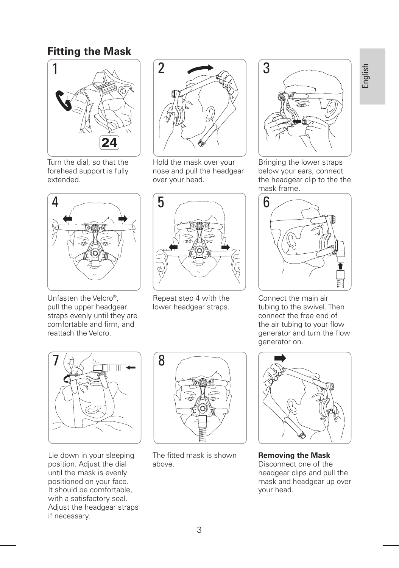### **Fitting the Mask**



Turn the dial, so that the forehead support is fully extended.



Unfasten the Velcro®, pull the upper headgear straps evenly until they are comfortable and firm, and reattach the Velcro.



Hold the mask over your nose and pull the headgear over your head.



Repeat step 4 with the lower headgear straps.



Bringing the lower straps below your ears, connect the headgear clip to the the mask frame.



Connect the main air tubing to the swivel. Then connect the free end of the air tubing to your flow generator and turn the flow generator on.



Lie down in your sleeping position. Adjust the dial until the mask is evenly positioned on your face. It should be comfortable, with a satisfactory seal. Adjust the headgear straps if necessary.



The fitted mask is shown above.



**Removing the Mask**  Disconnect one of the headgear clips and pull the mask and headgear up over your head.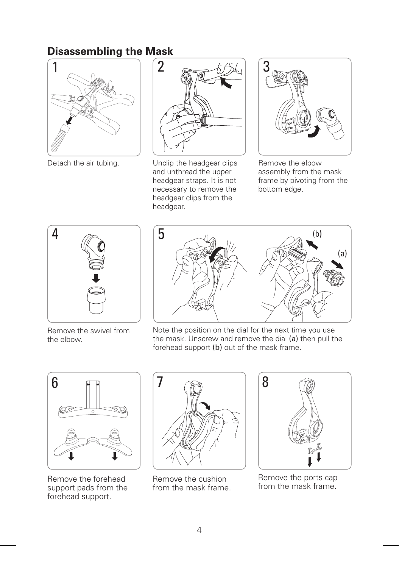## **Disassembling the Mask**





Detach the air tubing. Unclip the headgear clips and unthread the upper headgear straps. It is not necessary to remove the headgear clips from the headgear.



Remove the elbow assembly from the mask frame by pivoting from the bottom edge.



Remove the swivel from the elbow.



Note the position on the dial for the next time you use the mask. Unscrew and remove the dial (a) then pull the forehead support (b) out of the mask frame.



Remove the forehead support pads from the forehead support.



Remove the cushion from the mask frame.



Remove the ports cap from the mask frame.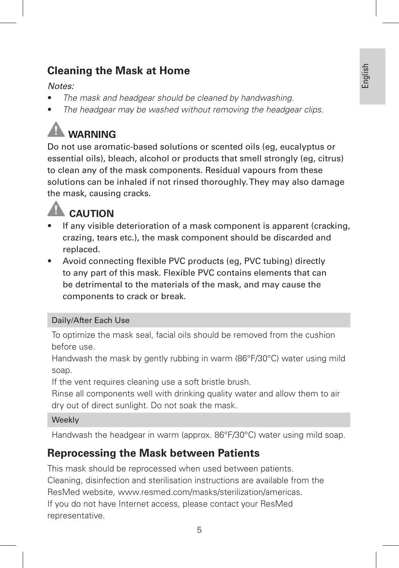## **Cleaning the Mask at Home**

#### *Notes:*

- *The mask and headgear should be cleaned by handwashing.*
- *The headgear may be washed without removing the headgear clips.*

# **WARNING**

Do not use aromatic-based solutions or scented oils (eg, eucalyptus or essential oils), bleach, alcohol or products that smell strongly (eg, citrus) to clean any of the mask components. Residual vapours from these solutions can be inhaled if not rinsed thoroughly. They may also damage the mask, causing cracks.



- If any visible deterioration of a mask component is apparent (cracking, crazing, tears etc.), the mask component should be discarded and replaced.
- Avoid connecting flexible PVC products (eg, PVC tubing) directly to any part of this mask. Flexible PVC contains elements that can be detrimental to the materials of the mask, and may cause the components to crack or break.

#### Daily/After Each Use

To optimize the mask seal, facial oils should be removed from the cushion before use.

Handwash the mask by gently rubbing in warm (86°F/30°C) water using mild soap.

If the vent requires cleaning use a soft bristle brush.

Rinse all components well with drinking quality water and allow them to air dry out of direct sunlight. Do not soak the mask.

#### **Weekly**

Handwash the headgear in warm (approx. 86°F/30°C) water using mild soap.

## **Reprocessing the Mask between Patients**

This mask should be reprocessed when used between patients. Cleaning, disinfection and sterilisation instructions are available from the ResMed website, www.resmed.com/masks/sterilization/americas. If you do not have Internet access, please contact your ResMed representative.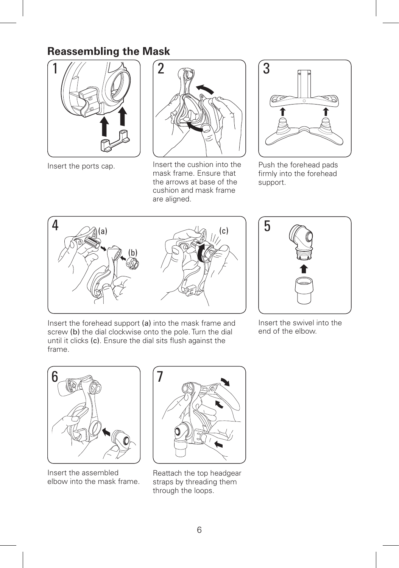## **Reassembling the Mask**



Insert the ports cap.



Insert the cushion into the mask frame. Ensure that the arrows at base of the cushion and mask frame are aligned.



Push the forehead pads firmly into the forehead support.





Insert the forehead support (a) into the mask frame and screw (b) the dial clockwise onto the pole. Turn the dial until it clicks (c). Ensure the dial sits flush against the frame.

Insert the swivel into the end of the elbow.



Insert the assembled elbow into the mask frame.



Reattach the top headgear straps by threading them through the loops.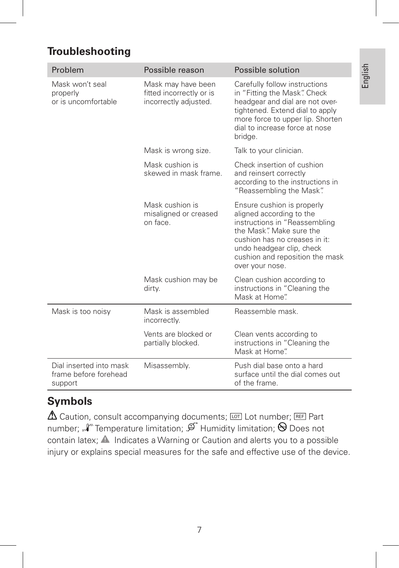## **Troubleshooting**

| Problem                                                     | Possible reason                                                         | Possible solution                                                                                                                                                                                                                       |
|-------------------------------------------------------------|-------------------------------------------------------------------------|-----------------------------------------------------------------------------------------------------------------------------------------------------------------------------------------------------------------------------------------|
| Mask won't seal<br>properly<br>or is uncomfortable          | Mask may have been<br>fitted incorrectly or is<br>incorrectly adjusted. | Carefully follow instructions<br>in "Fitting the Mask". Check<br>headgear and dial are not over-<br>tightened. Extend dial to apply<br>more force to upper lip. Shorten<br>dial to increase force at nose<br>bridge.                    |
|                                                             | Mask is wrong size.                                                     | Talk to your clinician.                                                                                                                                                                                                                 |
|                                                             | Mask cushion is<br>skewed in mask frame.                                | Check insertion of cushion<br>and reinsert correctly<br>according to the instructions in<br>"Reassembling the Mask".                                                                                                                    |
|                                                             | Mask cushion is<br>misaligned or creased<br>on face.                    | Ensure cushion is properly<br>aligned according to the<br>instructions in "Reassembling<br>the Mask". Make sure the<br>cushion has no creases in it:<br>undo headgear clip, check<br>cushion and reposition the mask<br>over your nose. |
|                                                             | Mask cushion may be<br>dirty.                                           | Clean cushion according to<br>instructions in "Cleaning the<br>Mask at Home".                                                                                                                                                           |
| Mask is too noisy                                           | Mask is assembled<br>incorrectly.                                       | Reassemble mask.                                                                                                                                                                                                                        |
|                                                             | Vents are blocked or<br>partially blocked.                              | Clean vents according to<br>instructions in "Cleaning the<br>Mask at Home"                                                                                                                                                              |
| Dial inserted into mask<br>frame before forehead<br>support | Misassembly.                                                            | Push dial base onto a hard<br>surface until the dial comes out<br>of the frame.                                                                                                                                                         |

## **Symbols**

 $\Delta$  Caution, consult accompanying documents;  $\overline{L}$  Lot number; REF Part number;  $\mathcal{N}$  Temperature limitation;  $\mathcal{D}$  Humidity limitation;  $\Theta$  Does not contain latex;  $\triangle$  Indicates a Warning or Caution and alerts you to a possible injury or explains special measures for the safe and effective use of the device.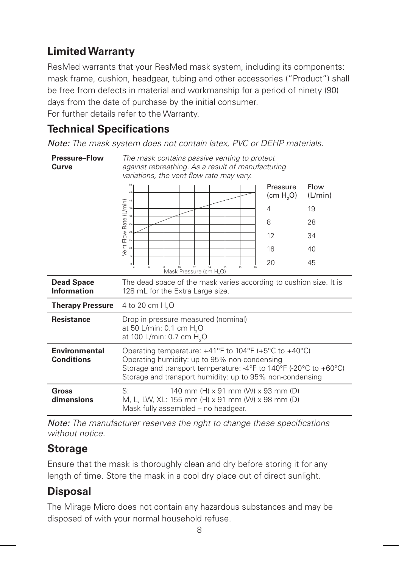## **Limited Warranty**

ResMed warrants that your ResMed mask system, including its components: mask frame, cushion, headgear, tubing and other accessories ("Product") shall be free from defects in material and workmanship for a period of ninety (90) days from the date of purchase by the initial consumer.

For further details refer to the Warranty.

## **Technical Specifications**

*Note: The mask system does not contain latex, PVC or DEHP materials.*

| <b>Pressure-Flow</b><br>Curve             | The mask contains passive venting to protect<br>against rebreathing. As a result of manufacturing<br>variations, the vent flow rate may vary.                                                                                                    |                                   |                 |  |
|-------------------------------------------|--------------------------------------------------------------------------------------------------------------------------------------------------------------------------------------------------------------------------------------------------|-----------------------------------|-----------------|--|
|                                           | 45                                                                                                                                                                                                                                               | Pressure<br>(cm H <sub>2</sub> O) | Flow<br>(L/min) |  |
|                                           |                                                                                                                                                                                                                                                  | 4                                 | 19              |  |
|                                           |                                                                                                                                                                                                                                                  | 8                                 | 28              |  |
|                                           |                                                                                                                                                                                                                                                  | 12                                | 34              |  |
|                                           |                                                                                                                                                                                                                                                  | 16                                | 40              |  |
|                                           | $\alpha$<br>18<br>Mask Pressure (cm H <sub>2</sub> O)                                                                                                                                                                                            | 20                                | 45              |  |
| <b>Dead Space</b><br><b>Information</b>   | The dead space of the mask varies according to cushion size. It is<br>128 mL for the Extra Large size.                                                                                                                                           |                                   |                 |  |
| <b>Therapy Pressure</b>                   | 4 to 20 cm H <sub>2</sub> O                                                                                                                                                                                                                      |                                   |                 |  |
| <b>Resistance</b>                         | Drop in pressure measured (nominal)<br>at 50 L/min: 0.1 cm H <sub>2</sub> O<br>at 100 L/min: 0.7 cm H <sub>2</sub> O                                                                                                                             |                                   |                 |  |
| <b>Environmental</b><br><b>Conditions</b> | Operating temperature: $+41^{\circ}$ F to 104°F (+5°C to +40°C)<br>Operating humidity: up to 95% non-condensing<br>Storage and transport temperature: -4°F to 140°F (-20°C to +60°C)<br>Storage and transport humidity: up to 95% non-condensing |                                   |                 |  |
| Gross<br>dimensions                       | S:<br>140 mm (H) x 91 mm (W) x 93 mm (D)<br>M, L, LW, XL: 155 mm (H) x 91 mm (W) x 98 mm (D)<br>Mask fully assembled - no headgear.                                                                                                              |                                   |                 |  |

*Note: The manufacturer reserves the right to change these specifications without notice.*

## **Storage**

Ensure that the mask is thoroughly clean and dry before storing it for any length of time. Store the mask in a cool dry place out of direct sunlight.

## **Disposal**

The Mirage Micro does not contain any hazardous substances and may be disposed of with your normal household refuse.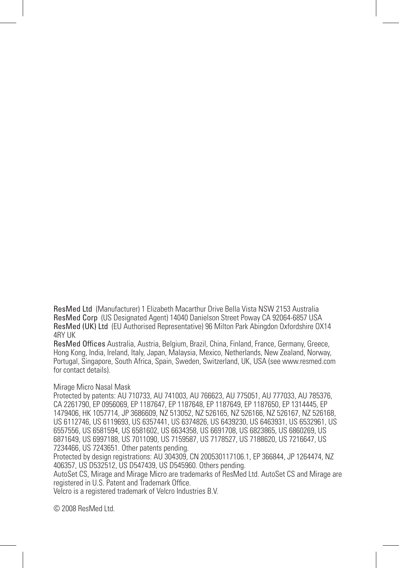ResMed Ltd (Manufacturer) 1 Elizabeth Macarthur Drive Bella Vista NSW 2153 Australia ResMed Corp (US Designated Agent) 14040 Danielson Street Poway CA 92064-6857 USA ResMed (UK) Ltd (EU Authorised Representative) 96 Milton Park Abingdon Oxfordshire OX14 4RY UK

ResMed Offices Australia, Austria, Belgium, Brazil, China, Finland, France, Germany, Greece, Hong Kong, India, Ireland, Italy, Japan, Malaysia, Mexico, Netherlands, New Zealand, Norway, Portugal, Singapore, South Africa, Spain, Sweden, Switzerland, UK, USA (see www.resmed.com for contact details).

#### Mirage Micro Nasal Mask

Protected by patents: AU 710733, AU 741003, AU 766623, AU 775051, AU 777033, AU 785376, CA 2261790, EP 0956069, EP 1187647, EP 1187648, EP 1187649, EP 1187650, EP 1314445, EP 1479406, HK 1057714, JP 3686609, NZ 513052, NZ 526165, NZ 526166, NZ 526167, NZ 526168, US 6112746, US 6119693, US 6357441, US 6374826, US 6439230, US 6463931, US 6532961, US 6557556, US 6581594, US 6581602, US 6634358, US 6691708, US 6823865, US 6860269, US 6871649, US 6997188, US 7011090, US 7159587, US 7178527, US 7188620, US 7216647, US 7234466, US 7243651. Other patents pending.

Protected by design registrations: AU 304309, CN 200530117106.1, EP 366844, JP 1264474, NZ 406357, US D532512, US D547439, US D545960. Others pending.

AutoSet CS, Mirage and Mirage Micro are trademarks of ResMed Ltd. AutoSet CS and Mirage are registered in U.S. Patent and Trademark Office.

Velcro is a registered trademark of Velcro Industries B.V.

© 2008 ResMed Ltd.